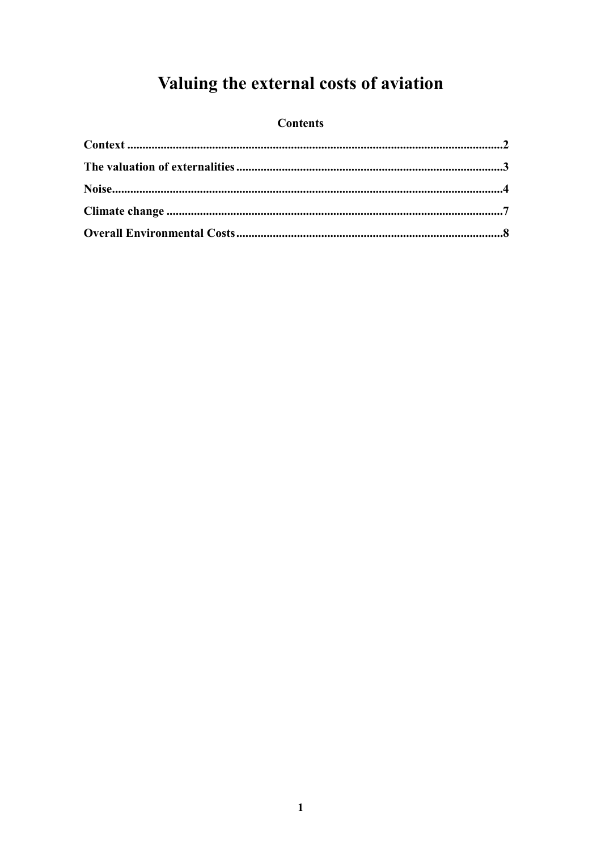# Valuing the external costs of aviation

### **Contents**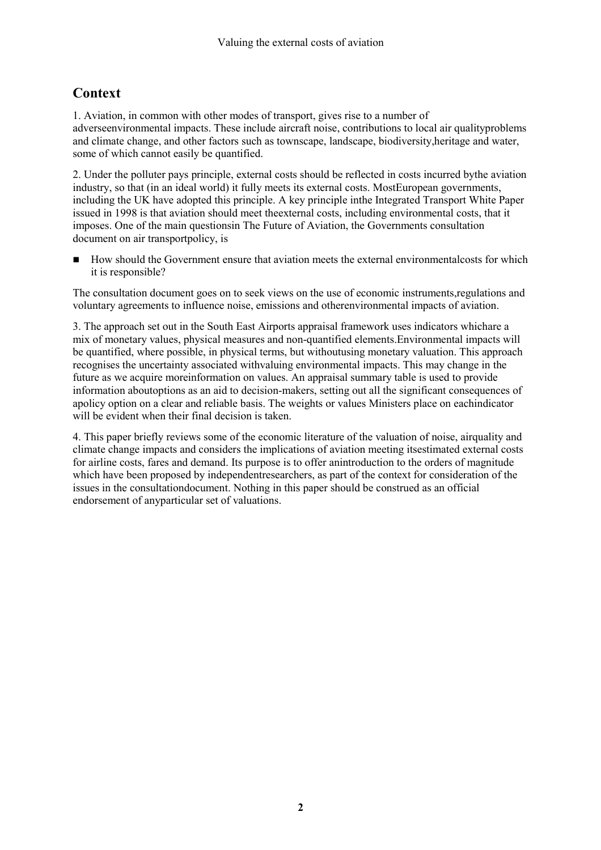# <span id="page-1-0"></span>**Context**

1. Aviation, in common with other modes of transport, gives rise to a number of adverseenvironmental impacts. These include aircraft noise, contributions to local air qualityproblems and climate change, and other factors such as townscape, landscape, biodiversity,heritage and water, some of which cannot easily be quantified.

2. Under the polluter pays principle, external costs should be reflected in costs incurred bythe aviation industry, so that (in an ideal world) it fully meets its external costs. MostEuropean governments, including the UK have adopted this principle. A key principle inthe Integrated Transport White Paper issued in 1998 is that aviation should meet theexternal costs, including environmental costs, that it imposes. One of the main questionsin The Future of Aviation, the Governments consultation document on air transportpolicy, is

How should the Government ensure that aviation meets the external environmentalcosts for which it is responsible?

The consultation document goes on to seek views on the use of economic instruments,regulations and voluntary agreements to influence noise, emissions and otherenvironmental impacts of aviation.

3. The approach set out in the South East Airports appraisal framework uses indicators whichare a mix of monetary values, physical measures and non-quantified elements.Environmental impacts will be quantified, where possible, in physical terms, but withoutusing monetary valuation. This approach recognises the uncertainty associated withvaluing environmental impacts. This may change in the future as we acquire moreinformation on values. An appraisal summary table is used to provide information aboutoptions as an aid to decision-makers, setting out all the significant consequences of apolicy option on a clear and reliable basis. The weights or values Ministers place on eachindicator will be evident when their final decision is taken.

4. This paper briefly reviews some of the economic literature of the valuation of noise, airquality and climate change impacts and considers the implications of aviation meeting itsestimated external costs for airline costs, fares and demand. Its purpose is to offer anintroduction to the orders of magnitude which have been proposed by independentresearchers, as part of the context for consideration of the issues in the consultationdocument. Nothing in this paper should be construed as an official endorsement of anyparticular set of valuations.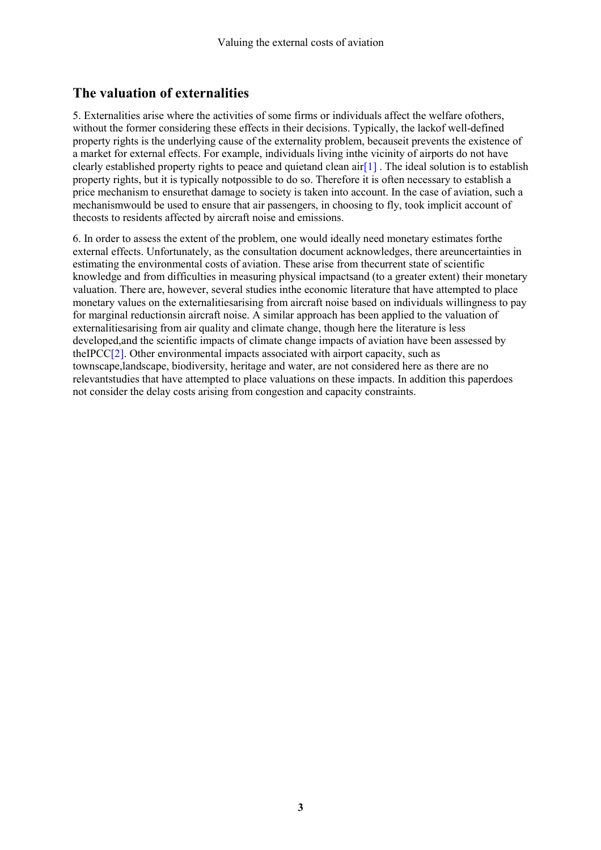# <span id="page-2-0"></span>**The valuation of externalities**

5. Externalities arise where the activities of some firms or individuals affect the welfare ofothers, without the former considering these effects in their decisions. Typically, the lackof well-defined property rights is the underlying cause of the externality problem, becauseit prevents the existence of a market for external effects. For example, individuals living inthe vicinity of airports do not have clearly established property rights to peace and quietand clean air  $[1]$ . The ideal solution is to establish property rights, but it is typically notpossible to do so. Therefore it is often necessary to establish a price mechanism to ensurethat damage to society is taken into account. In the case of aviation, such a mechanismwould be used to ensure that air passengers, in choosing to fly, took implicit account of thecosts to residents affected by aircraft noise and emissions.

6. In order to assess the extent of the problem, one would ideally need monetary estimates forthe external effects. Unfortunately, as the consultation document acknowledges, there areuncertainties in estimating the environmental costs of aviation. These arise from thecurrent state of scientific knowledge and from difficulties in measuring physical impactsand (to a greater extent) their monetary valuation. There are, however, several studies inthe economic literature that have attempted to place monetary values on the externalitiesarising from aircraft noise based on individuals willingness to pay for marginal reductionsin aircraft noise. A similar approach has been applied to the valuation of externalitiesarising from air quality and climate change, though here the literature is less developed,and the scientific impacts of climate change impacts of aviation have been assessed by theIPCC[\[2\]](#page-7-0). Other environmental impacts associated with airport capacity, such as townscape,landscape, biodiversity, heritage and water, are not considered here as there are no relevantstudies that have attempted to place valuations on these impacts. In addition this paperdoes not consider the delay costs arising from congestion and capacity constraints.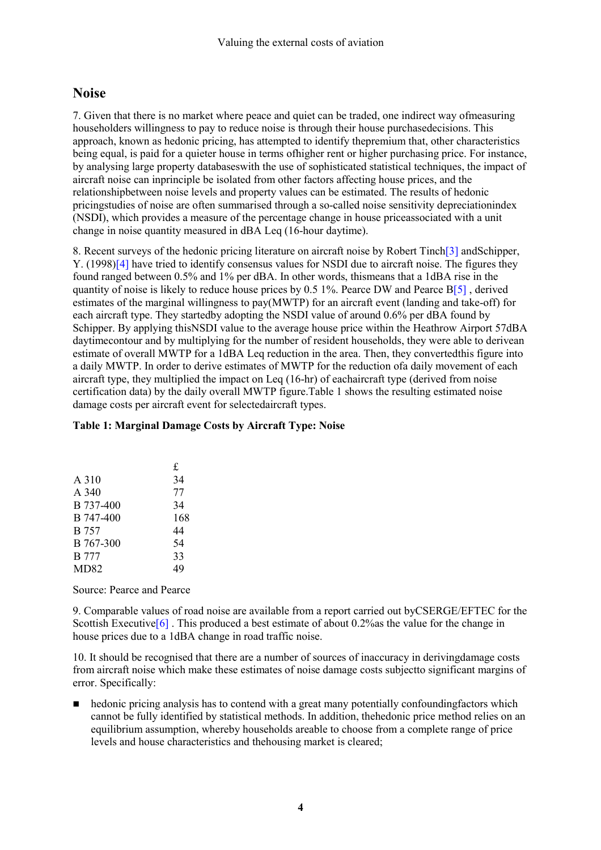### <span id="page-3-0"></span>**Noise**

7. Given that there is no market where peace and quiet can be traded, one indirect way ofmeasuring householders willingness to pay to reduce noise is through their house purchasedecisions. This approach, known as hedonic pricing, has attempted to identify thepremium that, other characteristics being equal, is paid for a quieter house in terms ofhigher rent or higher purchasing price. For instance, by analysing large property databaseswith the use of sophisticated statistical techniques, the impact of aircraft noise can inprinciple be isolated from other factors affecting house prices, and the relationshipbetween noise levels and property values can be estimated. The results of hedonic pricingstudies of noise are often summarised through a so-called noise sensitivity depreciationindex (NSDI), which provides a measure of the percentage change in house priceassociated with a unit change in noise quantity measured in dBA Leq (16-hour daytime).

8. Recent surveys of the hedonic pricing literature on aircraft noise by Robert Tinc[h\[3](#page-7-0)] andSchipper, Y. (1998)[\[4\]](#page-7-0) have tried to identify consensus values for NSDI due to aircraft noise. The figures they found ranged between 0.5% and 1% per dBA. In other words, thismeans that a 1dBA rise in the quantity of noise is likely to reduce house prices by 0.5 1%. Pearce DW and Pearce B[\[5\]](#page-7-0) , derived estimates of the marginal willingness to pay(MWTP) for an aircraft event (landing and take-off) for each aircraft type. They startedby adopting the NSDI value of around 0.6% per dBA found by Schipper. By applying thisNSDI value to the average house price within the Heathrow Airport 57dBA daytimecontour and by multiplying for the number of resident households, they were able to derivean estimate of overall MWTP for a 1dBA Leq reduction in the area. Then, they convertedthis figure into a daily MWTP. In order to derive estimates of MWTP for the reduction ofa daily movement of each aircraft type, they multiplied the impact on Leq (16-hr) of eachaircraft type (derived from noise certification data) by the daily overall MWTP figure.Table 1 shows the resulting estimated noise damage costs per aircraft event for selectedaircraft types.

#### **Table 1: Marginal Damage Costs by Aircraft Type: Noise**

|              | £   |
|--------------|-----|
| A 310        | 34  |
| $A$ 340      | 77  |
| B 737-400    | 34  |
| B 747-400    | 168 |
| B 757        | 44  |
| B 767-300    | 54  |
| <b>B</b> 777 | 33  |
| MD82         | 49  |

#### Source: Pearce and Pearce

9. Comparable values of road noise are available from a report carried out byCSERGE/EFTEC for the Scottish Executive  $[6]$ . This produced a best estimate of about 0.2% as the value for the change in house prices due to a 1dBA change in road traffic noise.

10. It should be recognised that there are a number of sources of inaccuracy in derivingdamage costs from aircraft noise which make these estimates of noise damage costs subjectto significant margins of error. Specifically:

 hedonic pricing analysis has to contend with a great many potentially confoundingfactors which cannot be fully identified by statistical methods. In addition, thehedonic price method relies on an equilibrium assumption, whereby households areable to choose from a complete range of price levels and house characteristics and thehousing market is cleared;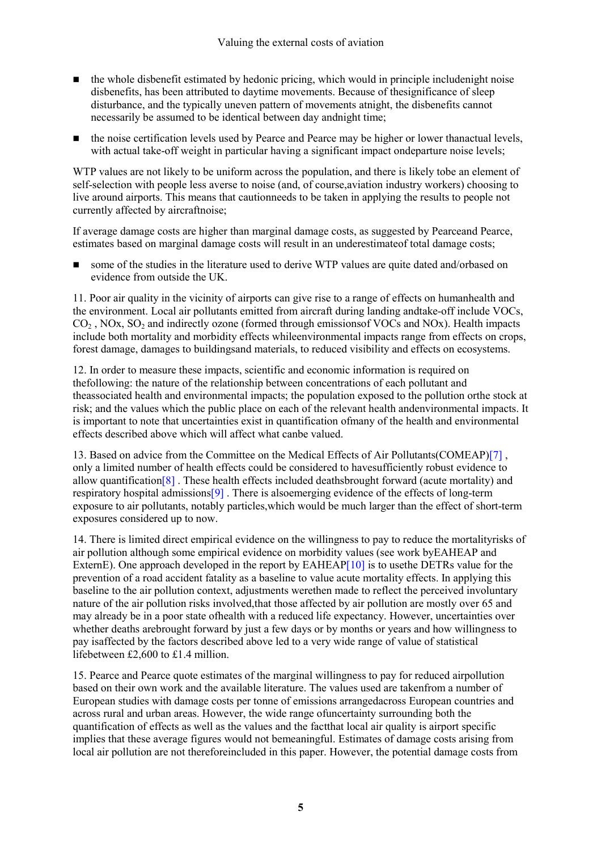- $\blacksquare$  the whole disbenefit estimated by hedonic pricing, which would in principle includenight noise disbenefits, has been attributed to daytime movements. Because of thesignificance of sleep disturbance, and the typically uneven pattern of movements atnight, the disbenefits cannot necessarily be assumed to be identical between day andnight time;
- the noise certification levels used by Pearce and Pearce may be higher or lower thanactual levels, with actual take-off weight in particular having a significant impact ondeparture noise levels;

WTP values are not likely to be uniform across the population, and there is likely tobe an element of self-selection with people less averse to noise (and, of course,aviation industry workers) choosing to live around airports. This means that cautionneeds to be taken in applying the results to people not currently affected by aircraftnoise;

If average damage costs are higher than marginal damage costs, as suggested by Pearceand Pearce, estimates based on marginal damage costs will result in an underestimateof total damage costs;

■ some of the studies in the literature used to derive WTP values are quite dated and/orbased on evidence from outside the UK.

11. Poor air quality in the vicinity of airports can give rise to a range of effects on humanhealth and the environment. Local air pollutants emitted from aircraft during landing andtake-off include VOCs,  $CO<sub>2</sub>$ , NOx, SO<sub>2</sub> and indirectly ozone (formed through emissions of VOCs and NOx). Health impacts include both mortality and morbidity effects whileenvironmental impacts range from effects on crops, forest damage, damages to buildingsand materials, to reduced visibility and effects on ecosystems.

12. In order to measure these impacts, scientific and economic information is required on thefollowing: the nature of the relationship between concentrations of each pollutant and theassociated health and environmental impacts; the population exposed to the pollution orthe stock at risk; and the values which the public place on each of the relevant health andenvironmental impacts. It is important to note that uncertainties exist in quantification ofmany of the health and environmental effects described above which will affect what canbe valued.

13. Based on advice from the Committee on the Medical Effects of Air Pollutants(COMEAP)[\[7\]](#page-8-0) , only a limited number of health effects could be considered to havesufficiently robust evidence to allow quantificatio[n\[8](#page-8-0)] . These health effects included deathsbrought forward (acute mortality) and respiratory hospital admission[s\[9](#page-8-0)] . There is alsoemerging evidence of the effects of long-term exposure to air pollutants, notably particles,which would be much larger than the effect of short-term exposures considered up to now.

14. There is limited direct empirical evidence on the willingness to pay to reduce the mortalityrisks of air pollution although some empirical evidence on morbidity values (see work byEAHEAP and ExternE). One approach developed in the report by EAHEAP[\[10\]](#page-8-0) is to usethe DETRs value for the prevention of a road accident fatality as a baseline to value acute mortality effects. In applying this baseline to the air pollution context, adjustments werethen made to reflect the perceived involuntary nature of the air pollution risks involved,that those affected by air pollution are mostly over 65 and may already be in a poor state ofhealth with a reduced life expectancy. However, uncertainties over whether deaths arebrought forward by just a few days or by months or years and how willingness to pay isaffected by the factors described above led to a very wide range of value of statistical lifebetween £2,600 to £1.4 million.

15. Pearce and Pearce quote estimates of the marginal willingness to pay for reduced airpollution based on their own work and the available literature. The values used are takenfrom a number of European studies with damage costs per tonne of emissions arrangedacross European countries and across rural and urban areas. However, the wide range ofuncertainty surrounding both the quantification of effects as well as the values and the factthat local air quality is airport specific implies that these average figures would not bemeaningful. Estimates of damage costs arising from local air pollution are not thereforeincluded in this paper. However, the potential damage costs from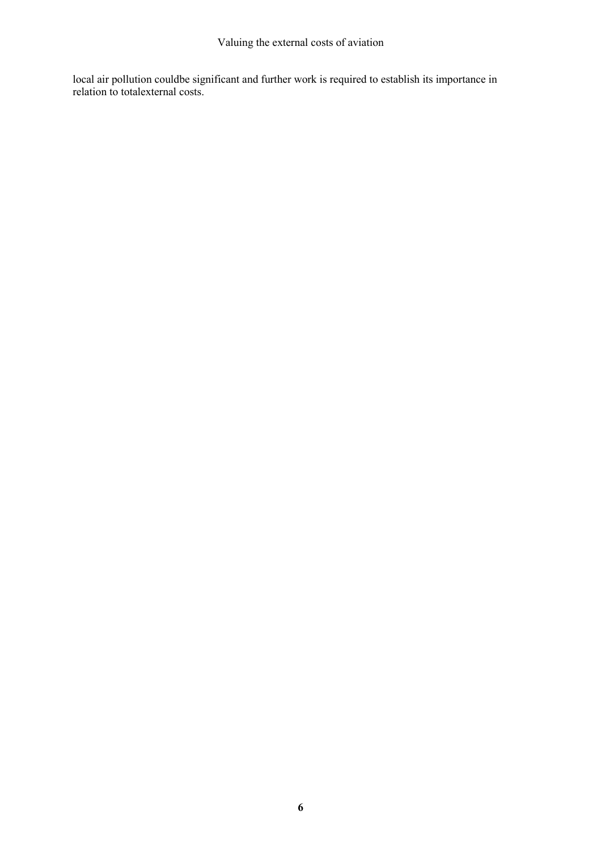local air pollution couldbe significant and further work is required to establish its importance in relation to totalexternal costs.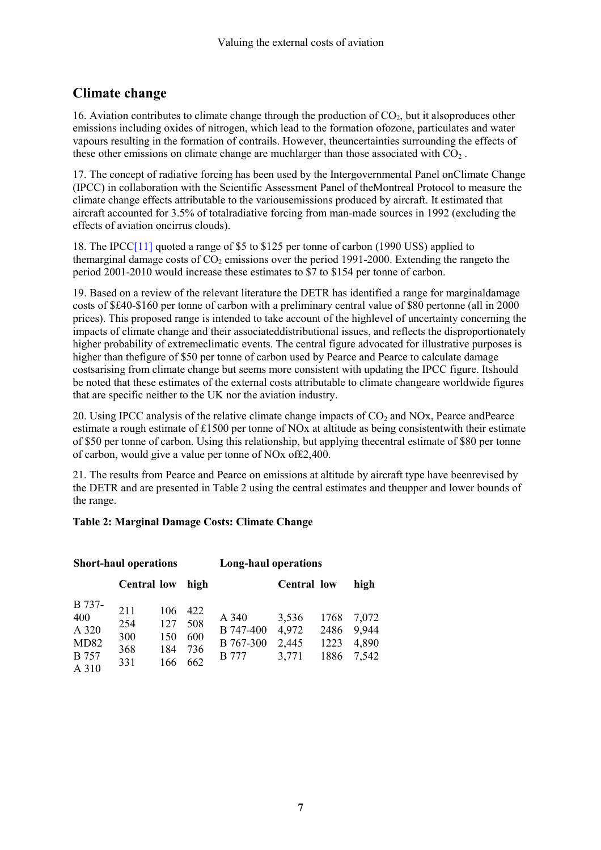# <span id="page-6-0"></span>**Climate change**

16. Aviation contributes to climate change through the production of  $CO<sub>2</sub>$ , but it alsoproduces other emissions including oxides of nitrogen, which lead to the formation ofozone, particulates and water vapours resulting in the formation of contrails. However, theuncertainties surrounding the effects of these other emissions on climate change are much arger than those associated with  $CO<sub>2</sub>$ .

17. The concept of radiative forcing has been used by the Intergovernmental Panel onClimate Change (IPCC) in collaboration with the Scientific Assessment Panel of theMontreal Protocol to measure the climate change effects attributable to the variousemissions produced by aircraft. It estimated that aircraft accounted for 3.5% of totalradiative forcing from man-made sources in 1992 (excluding the effects of aviation oncirrus clouds).

18. The IPCC[\[11\]](#page-8-0) quoted a range of \$5 to \$125 per tonne of carbon (1990 US\$) applied to themarginal damage costs of  $CO<sub>2</sub>$  emissions over the period 1991-2000. Extending the rangeto the period 2001-2010 would increase these estimates to \$7 to \$154 per tonne of carbon.

19. Based on a review of the relevant literature the DETR has identified a range for marginaldamage costs of \$£40-\$160 per tonne of carbon with a preliminary central value of \$80 pertonne (all in 2000 prices). This proposed range is intended to take account of the highlevel of uncertainty concerning the impacts of climate change and their associateddistributional issues, and reflects the disproportionately higher probability of extremeclimatic events. The central figure advocated for illustrative purposes is higher than thefigure of \$50 per tonne of carbon used by Pearce and Pearce to calculate damage costsarising from climate change but seems more consistent with updating the IPCC figure. Itshould be noted that these estimates of the external costs attributable to climate changeare worldwide figures that are specific neither to the UK nor the aviation industry.

20. Using IPCC analysis of the relative climate change impacts of  $CO<sub>2</sub>$  and NOx, Pearce and Pearce estimate a rough estimate of £1500 per tonne of NOx at altitude as being consistentwith their estimate of \$50 per tonne of carbon. Using this relationship, but applying thecentral estimate of \$80 per tonne of carbon, would give a value per tonne of NOx of£2,400.

21. The results from Pearce and Pearce on emissions at altitude by aircraft type have beenrevised by the DETR and are presented in Table 2 using the central estimates and theupper and lower bounds of the range.

#### **Table 2: Marginal Damage Costs: Climate Change**

| <b>Short-haul operations</b>                            |                                 |                                 |                                 | <b>Long-haul operations</b>                     |                                  |                              |                                  |
|---------------------------------------------------------|---------------------------------|---------------------------------|---------------------------------|-------------------------------------------------|----------------------------------|------------------------------|----------------------------------|
|                                                         | <b>Central low</b>              |                                 | high                            |                                                 | <b>Central low</b>               |                              | high                             |
| B 737-<br>400<br>A 320<br>MD82<br><b>B</b> 757<br>A 310 | 211<br>254<br>300<br>368<br>331 | 106<br>127<br>150<br>184<br>166 | 422<br>508<br>600<br>736<br>662 | A 340<br>B 747-400<br>B 767-300<br><b>B</b> 777 | 3,536<br>4,972<br>2,445<br>3,771 | 1768<br>2486<br>1223<br>1886 | 7,072<br>9,944<br>4,890<br>7,542 |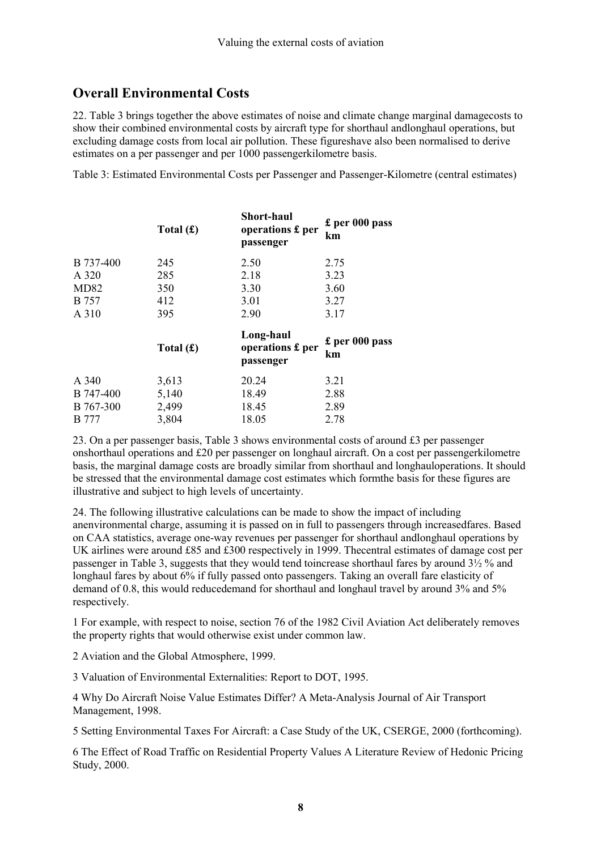# <span id="page-7-0"></span>**Overall Environmental Costs**

22. Table 3 brings together the above estimates of noise and climate change marginal damagecosts to show their combined environmental costs by aircraft type for shorthaul andlonghaul operations, but excluding damage costs from local air pollution. These figureshave also been normalised to derive estimates on a per passenger and per 1000 passengerkilometre basis.

Table 3: Estimated Environmental Costs per Passenger and Passenger-Kilometre (central estimates)

|              | Total $(f)$ | <b>Short-haul</b><br>operations £ per<br>passenger | £ per 000 pass<br>km   |
|--------------|-------------|----------------------------------------------------|------------------------|
| B 737-400    | 245         | 2.50                                               | 2.75                   |
| A 320        | 285         | 2.18                                               | 3.23                   |
| MD82         | 350         | 3.30                                               | 3.60                   |
| <b>B</b> 757 | 412         | 3.01                                               | 3.27                   |
| A 310        | 395         | 2.90                                               | 3.17                   |
|              | Total $(f)$ | Long-haul<br>operations £ per<br>passenger         | $£$ per 000 pass<br>km |
| A 340        | 3,613       | 20.24                                              | 3.21                   |
| B 747-400    | 5,140       | 18.49                                              | 2.88                   |
| B 767-300    | 2,499       | 18.45                                              | 2.89                   |
| <b>B</b> 777 | 3,804       | 18.05                                              | 2.78                   |

23. On a per passenger basis, Table 3 shows environmental costs of around £3 per passenger onshorthaul operations and £20 per passenger on longhaul aircraft. On a cost per passengerkilometre basis, the marginal damage costs are broadly similar from shorthaul and longhauloperations. It should be stressed that the environmental damage cost estimates which formthe basis for these figures are illustrative and subject to high levels of uncertainty.

24. The following illustrative calculations can be made to show the impact of including anenvironmental charge, assuming it is passed on in full to passengers through increasedfares. Based on CAA statistics, average one-way revenues per passenger for shorthaul andlonghaul operations by UK airlines were around £85 and £300 respectively in 1999. Thecentral estimates of damage cost per passenger in Table 3, suggests that they would tend toincrease shorthaul fares by around 3½ % and longhaul fares by about 6% if fully passed onto passengers. Taking an overall fare elasticity of demand of 0.8, this would reducedemand for shorthaul and longhaul travel by around 3% and 5% respectively.

1 For example, with respect to noise, section 76 of the 1982 Civil Aviation Act deliberately removes the property rights that would otherwise exist under common law.

2 Aviation and the Global Atmosphere, 1999.

3 Valuation of Environmental Externalities: Report to DOT, 1995.

4 Why Do Aircraft Noise Value Estimates Differ? A Meta-Analysis Journal of Air Transport Management, 1998.

5 Setting Environmental Taxes For Aircraft: a Case Study of the UK, CSERGE, 2000 (forthcoming).

6 The Effect of Road Traffic on Residential Property Values A Literature Review of Hedonic Pricing Study, 2000.